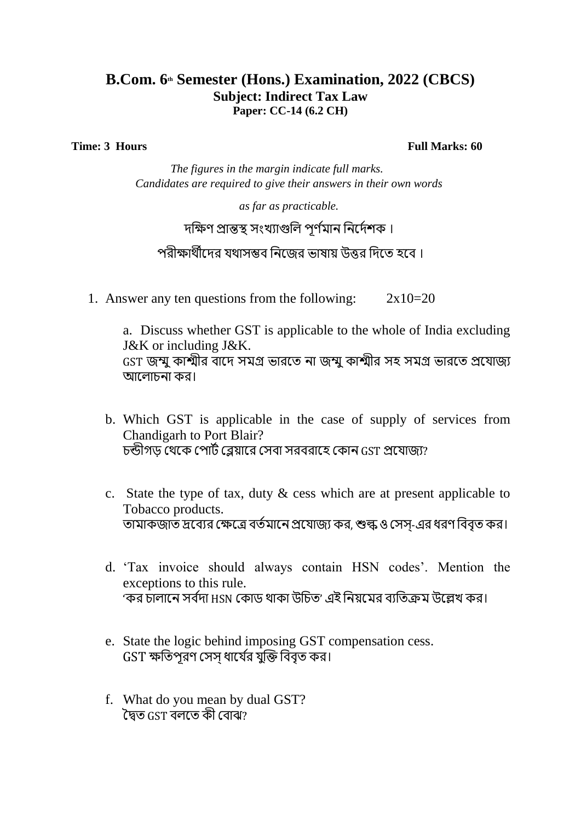## **B.Com. 6th Semester (Hons.) Examination, 2022 (CBCS) Subject: Indirect Tax Law Paper: CC-14 (6.2 CH)**

**Time: 3** Hours **Full Marks: 60** 

*The figures in the margin indicate full marks. Candidates are required to give their answers in their own words*

*as far as practicable.*

## দক্ষিণ প্রান্তস্থ সংখ্যাগুলি পর্ণমান নির্দেশক।

## পরীক্ষার্থীদের যথাসম্ভব নিজের ভাষায় উত্তর দিতে হবে ।

1. Answer any ten questions from the following:  $2x10=20$ 

a. Discuss whether GST is applicable to the whole of India excluding J&K or including J&K. GST েম্মুকাশ্মীর বার্দ সমগ্র ভারর্ে না েম্মুকাশ্মীর সহ সমগ্র ভারর্ে প্রর্যােয আলোচনা কর।

- b. Which GST is applicable in the case of supply of services from Chandigarh to Port Blair? চন্ডীগড় থেকে পোর্ট ব্লেয়ারে সেবা সরবরাহে কোন GST প্রযোজ্য?
- c. State the type of tax, duty & cess which are at present applicable to Tobacco products. তামাকজাত দ্রব্যের ক্ষেত্রে বর্তমানে প্রযোজ্য কর, শুল্ক ও সেস্-এর ধরণ বিবৃত কর।
- d. 'Tax invoice should always contain HSN codes'. Mention the exceptions to this rule. 'কর চালানে সর্বদা HSN কোড থাকা উচিত' এই নিয়মের ব্যতিক্রম উল্লেখ কর।
- e. State the logic behind imposing GST compensation cess.  $GST$  ক্ষতিপরণ সেস ধার্যের যুক্তি বিবৃত কর।
- f. What do you mean by dual GST? দ্বৈত GST বলতে কী বোঝ?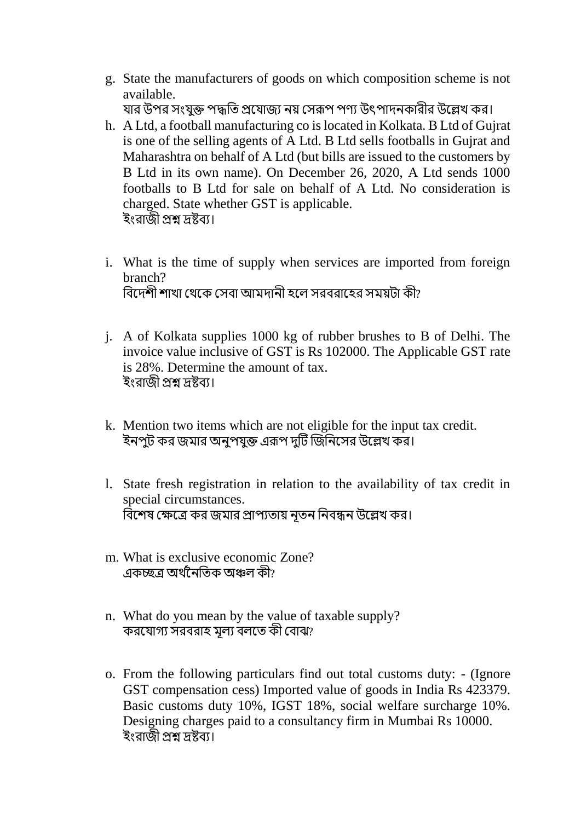- g. State the manufacturers of goods on which composition scheme is not available. যার উপর সংযুক্ত পদ্ধতি প্রযোজ্য নয় সেরূপ পণ্য উৎপাদনকারীর উল্লেখ কর।
- h. A Ltd, a football manufacturing co is located in Kolkata. B Ltd of Gujrat is one of the selling agents of A Ltd. B Ltd sells footballs in Gujrat and Maharashtra on behalf of A Ltd (but bills are issued to the customers by B Ltd in its own name). On December 26, 2020, A Ltd sends 1000 footballs to B Ltd for sale on behalf of A Ltd. No consideration is charged. State whether GST is applicable. ইংরাজী প্রশ্ন দ্রষ্টব্য।
- i. What is the time of supply when services are imported from foreign branch? বিদেশী শাখা থেকে সেবা আমদানী হলে সরবরাহের সময়টা কী?
- j. A of Kolkata supplies 1000 kg of rubber brushes to B of Delhi. The invoice value inclusive of GST is Rs 102000. The Applicable GST rate is 28%. Determine the amount of tax. ইংরাজী প্রশ্ন দ্রষ্টব্য।
- k. Mention two items which are not eligible for the input tax credit. ইনপুট কর জমার অনুপযুক্ত এরূপ দুটি জিনিসের উল্লেখ কর।
- l. State fresh registration in relation to the availability of tax credit in special circumstances. বিশেষ ক্ষেত্রে কর জমার প্রাপ্যতায় নূতন নিবন্ধন উল্লেখ কর।
- m. What is exclusive economic Zone? একচ্ছত্র অর্থনৈতিক অঞ্চল কী?
- n. What do you mean by the value of taxable supply? করযোগ্য সরবরাহ মূল্য বলতে কী বোঝ?
- o. From the following particulars find out total customs duty: (Ignore GST compensation cess) Imported value of goods in India Rs 423379. Basic customs duty 10%, IGST 18%, social welfare surcharge 10%. Designing charges paid to a consultancy firm in Mumbai Rs 10000. ইংরাজী প্রশ্ন দ্রষ্টব্য।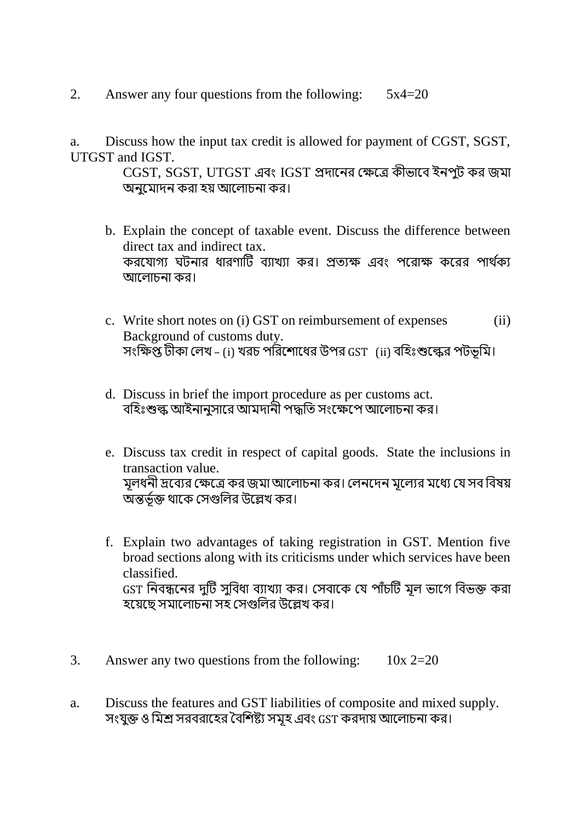2. Answer any four questions from the following:  $5x4=20$ 

a. Discuss how the input tax credit is allowed for payment of CGST, SGST, UTGST and IGST.

> CGST, SGST, UTGST এবং IGST প্রদানের ক্ষেত্রে কীভাবে ইনপুট কর জমা অনুর্মাদন করা হয় আর্িাচনা কর।

- b. Explain the concept of taxable event. Discuss the difference between direct tax and indirect tax. করযোগ্য ঘটনার ধারণাটি ব্যাখ্যা কর। প্রত্যক্ষ এবং পরোক্ষ করের পার্থক্য আলোচনা কর।
- c. Write short notes on (i) GST on reimbursement of expenses (ii) Background of customs duty. সংক্ষিপ্ত টীকা লেখ – (i) খরচ পরিশোধের উপর GST (ii) বহিঃশুল্কের পটভূমি।
- d. Discuss in brief the import procedure as per customs act. বহিঃশুল্ক আইনানুসারে আমদানী পদ্ধতি সংক্ষেপে আলোচনা কর।
- e. Discuss tax credit in respect of capital goods. State the inclusions in transaction value. মূলধনী দ্রব্যের ক্ষেত্রে কর জমা আলোচনা কর। লেনদেন মূল্যের মধ্যে যে সব বিষয় অন্তভূ ণি র্থার্ক থসগুক্ষির উর্েখ্ কর।
- f. Explain two advantages of taking registration in GST. Mention five broad sections along with its criticisms under which services have been classified. GST নিবন্ধনের দুটি সুবিধা ব্যাখ্যা কর। সেবাকে যে পাঁচটি মূল ভাগে বিভক্ত করা হর্য়র্ে সমার্িাচনা সহ থসগুক্ষির উর্েখ্ কর।
- 3. Answer any two questions from the following:  $10x$  2=20
- a. Discuss the features and GST liabilities of composite and mixed supply. সংযুক্ত ও মিশ্র সরবরাহের বৈশিষ্ট্য সমূহ এবং GST করদায় আলোচনা কর।